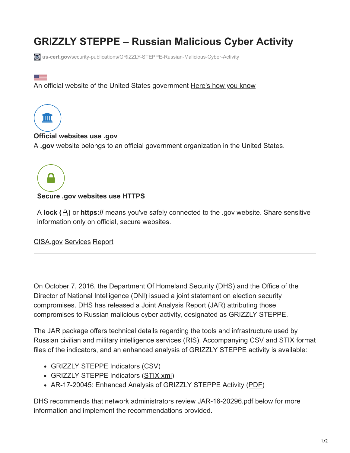# **GRIZZLY STEPPE – Russian Malicious Cyber Activity**

**us-cert.gov**[/security-publications/GRIZZLY-STEPPE-Russian-Malicious-Cyber-Activity](https://www.us-cert.gov/security-publications/GRIZZLY-STEPPE-Russian-Malicious-Cyber-Activity)

# An official website of the United States government Here's how you know



- - -

## **Official websites use .gov**

A **.gov** website belongs to an official government organization in the United States.



## **Secure .gov websites use HTTPS**

A **lock ( )** or **https://** means you've safely connected to the .gov website. Share sensitive information only on official, secure websites.

[CISA.gov](https://www.cisa.gov/) [Services](https://www.us-cert.gov/services) [Report](https://www.us-cert.gov/report)

On October 7, 2016, the Department Of Homeland Security (DHS) and the Office of the Director of National Intelligence (DNI) issued a [joint statement](https://www.dhs.gov/news/2016/10/07/joint-statement-department-homeland-security-and-office-director-national) on election security compromises. DHS has released a Joint Analysis Report (JAR) attributing those compromises to Russian malicious cyber activity, designated as GRIZZLY STEPPE.

The JAR package offers technical details regarding the tools and infrastructure used by Russian civilian and military intelligence services (RIS). Accompanying CSV and STIX format files of the indicators, and an enhanced analysis of GRIZZLY STEPPE activity is available:

- GRIZZLY STEPPE Indicators [\(CSV\)](https://www.us-cert.gov/sites/default/files/publications/JAR-16-20296A.csv)
- GRIZZLY STEPPE Indicators [\(STIX xml\)](https://www.us-cert.gov/sites/default/files/publications/JAR-16-20296A.xml)
- AR-17-20045: Enhanced Analysis of GRIZZLY STEPPE Activity ([PDF\)](https://www.us-cert.gov/sites/default/files/publications/AR-17-20045_Enhanced_Analysis_of_GRIZZLY_STEPPE_Activity.pdf)

DHS recommends that network administrators review JAR-16-20296.pdf below for more information and implement the recommendations provided.